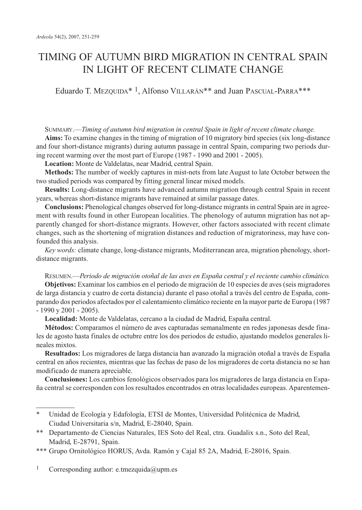# TIMING OF AUTUMN BIRD MIGRATION IN CENTRAL SPAIN IN LIGHT OF RECENT CLIMATE CHANGE

Eduardo T. MEZQUIDA<sup>\*</sup><sup>1</sup>, Alfonso VILLARÁN<sup>\*\*</sup> and Juan PASCUAL-PARRA<sup>\*\*\*</sup>

SUMMARY.—*Timing of autumn bird migration in central Spain in light of recent climate change.*

**Aims:** To examine changes in the timing of migration of 10 migratory bird species (six long-distance and four short-distance migrants) during autumn passage in central Spain, comparing two periods during recent warming over the most part of Europe (1987 - 1990 and 2001 - 2005).

**Location:** Monte de Valdelatas, near Madrid, central Spain.

**Methods:** The number of weekly captures in mist-nets from late August to late October between the two studied periods was compared by fitting general linear mixed models.

**Results:** Long-distance migrants have advanced autumn migration through central Spain in recent years, whereas short-distance migrants have remained at similar passage dates.

**Conclusions:** Phenological changes observed for long-distance migrants in central Spain are in agreement with results found in other European localities. The phenology of autumn migration has not apparently changed for short-distance migrants. However, other factors associated with recent climate changes, such as the shortening of migration distances and reduction of migratoriness, may have confounded this analysis.

*Key words:* climate change, long-distance migrants, Mediterranean area, migration phenology, shortdistance migrants.

RESUMEN.—*Periodo de migración otoñal de las aves en España central y el reciente cambio climático.* **Objetivos:** Examinar los cambios en el periodo de migración de 10 especies de aves (seis migradores de larga distancia y cuatro de corta distancia) durante el paso otoñal a través del centro de España, comparando dos periodos afectados por el calentamiento climático reciente en la mayor parte de Europa (1987 - 1990 y 2001 - 2005).

**Localidad:** Monte de Valdelatas, cercano a la ciudad de Madrid, España central.

**Métodos:** Comparamos el número de aves capturadas semanalmente en redes japonesas desde finales de agosto hasta finales de octubre entre los dos periodos de estudio, ajustando modelos generales lineales mixtos.

**Resultados:** Los migradores de larga distancia han avanzado la migración otoñal a través de España central en años recientes, mientras que las fechas de paso de los migradores de corta distancia no se han modificado de manera apreciable.

**Conclusiones:** Los cambios fenológicos observados para los migradores de larga distancia en España central se corresponden con los resultados encontrados en otras localidades europeas. Aparentemen-

<sup>1</sup> Corresponding author: e.tmezquida@upm.es

<sup>\*</sup> Unidad de Ecología y Edafología, ETSI de Montes, Universidad Politécnica de Madrid, Ciudad Universitaria s/n, Madrid, E-28040, Spain.

<sup>\*\*</sup> Departamento de Ciencias Naturales, IES Soto del Real, ctra. Guadalix s.n., Soto del Real, Madrid, E-28791, Spain.

<sup>\*\*\*</sup> Grupo Ornitológico HORUS, Avda. Ramón y Cajal 85 2A, Madrid, E-28016, Spain.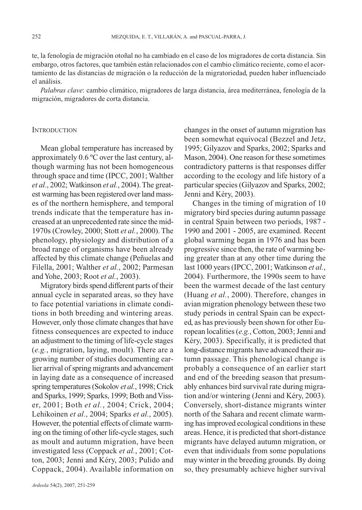te, la fenología de migración otoñal no ha cambiado en el caso de los migradores de corta distancia. Sin embargo, otros factores, que también están relacionados con el cambio climático reciente, como el acortamiento de las distancias de migración o la reducción de la migratoriedad, pueden haber influenciado el análisis.

*Palabras clave*: cambio climático, migradores de larga distancia, área mediterránea, fenología de la migración, migradores de corta distancia.

#### **INTRODUCTION**

Mean global temperature has increased by approximately 0.6 ºC over the last century, although warming has not been homogeneous through space and time (IPCC, 2001; Walther *et al.*, 2002; Watkinson *et al.*, 2004). The greatest warming has been registered over land masses of the northern hemisphere, and temporal trends indicate that the temperature has increased at an unprecedented rate since the mid-1970s (Crowley, 2000; Stott *et al.*, 2000). The phenology, physiology and distribution of a broad range of organisms have been already affected by this climate change (Peñuelas and Filella, 2001; Walther *et al.*, 2002; Parmesan and Yohe, 2003; Root *et al.*, 2003).

Migratory birds spend different parts of their annual cycle in separated areas, so they have to face potential variations in climate conditions in both breeding and wintering areas. However, only those climate changes that have fitness consequences are expected to induce an adjustment to the timing of life-cycle stages (*e.g.*, migration, laying, moult). There are a growing number of studies documenting earlier arrival of spring migrants and advancement in laying date as a consequence of increased spring temperatures (Sokolov *et al.*, 1998; Crick and Sparks, 1999; Sparks, 1999; Both and Visser, 2001; Both *et al.*, 2004; Crick, 2004; Lehikoinen *et al.*, 2004; Sparks *et al.*, 2005). However, the potential effects of climate warming on the timing of other life-cycle stages, such as moult and autumn migration, have been investigated less (Coppack *et al.*, 2001; Cotton, 2003; Jenni and Kéry, 2003; Pulido and Coppack, 2004). Available information on changes in the onset of autumn migration has been somewhat equivocal (Bezzel and Jetz, 1995; Gilyazov and Sparks, 2002; Sparks and Mason, 2004). One reason for these sometimes contradictory patterns is that responses differ according to the ecology and life history of a particular species (Gilyazov and Sparks, 2002; Jenni and Kéry, 2003).

Changes in the timing of migration of 10 migratory bird species during autumn passage in central Spain between two periods, 1987 - 1990 and 2001 - 2005, are examined. Recent global warming began in 1976 and has been progressive since then, the rate of warming being greater than at any other time during the last 1000 years (IPCC, 2001; Watkinson *et al.*, 2004). Furthermore, the 1990s seem to have been the warmest decade of the last century (Huang *et al.*, 2000). Therefore, changes in avian migration phenology between these two study periods in central Spain can be expected, as has previously been shown for other European localities (*e.g.*, Cotton, 2003; Jenni and Kéry, 2003). Specifically, it is predicted that long-distance migrants have advanced their autumn passage. This phenological change is probably a consequence of an earlier start and end of the breeding season that presumably enhances bird survival rate during migration and/or wintering (Jenni and Kéry, 2003). Conversely, short-distance migrants winter north of the Sahara and recent climate warming has improved ecological conditions in these areas. Hence, it is predicted that short-distance migrants have delayed autumn migration, or even that individuals from some populations may winter in the breeding grounds. By doing so, they presumably achieve higher survival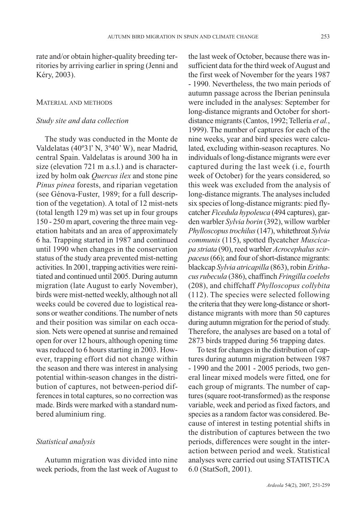rate and/or obtain higher-quality breeding territories by arriving earlier in spring (Jenni and Kéry, 2003).

# MATERIAL AND METHODS

## *Study site and data collection*

The study was conducted in the Monte de Valdelatas (40º31' N, 3º40' W), near Madrid, central Spain. Valdelatas is around 300 ha in size (elevation 721 m a.s.l.) and is characterized by holm oak *Quercus ilex* and stone pine *Pinus pinea* forests, and riparian vegetation (see Génova-Fuster, 1989; for a full description of the vegetation). A total of 12 mist-nets (total length 129 m) was set up in four groups 150 - 250 m apart, covering the three main vegetation habitats and an area of approximately 6 ha. Trapping started in 1987 and continued until 1990 when changes in the conservation status of the study area prevented mist-netting activities. In 2001, trapping activities were reinitiated and continued until 2005. During autumn migration (late August to early November), birds were mist-netted weekly, although not all weeks could be covered due to logistical reasons or weather conditions. The number of nets and their position was similar on each occasion. Nets were opened at sunrise and remained open for over 12 hours, although opening time was reduced to 6 hours starting in 2003. However, trapping effort did not change within the season and there was interest in analysing potential within-season changes in the distribution of captures, not between-period differences in total captures, so no correction was made. Birds were marked with a standard numbered aluminium ring.

## *Statistical analysis*

Autumn migration was divided into nine week periods, from the last week of August to the last week of October, because there was insufficient data for the third week of August and the first week of November for the years 1987 - 1990. Nevertheless, the two main periods of autumn passage across the Iberian peninsula were included in the analyses: September for long-distance migrants and October for shortdistance migrants (Cantos, 1992; Tellería *et al.*, 1999). The number of captures for each of the nine weeks, year and bird species were calculated, excluding within-season recaptures. No individuals of long-distance migrants were ever captured during the last week (i.e, fourth week of October) for the years considered, so this week was excluded from the analysis of long-distance migrants. The analyses included six species of long-distance migrants: pied flycatcher *Ficedula hypoleuca* (494 captures), garden warbler *Sylvia borin* (392), willow warbler *Phylloscopus trochilus*(147), whitethroat *Sylvia communis* (115), spotted flycatcher *Muscicapa striata* (90), reed warbler *Acrocephalus scirpaceus*(66); and four of short-distance migrants: blackcap *Sylvia atricapilla* (863), robin *Erithacus rubecula* (386), chaffinch *Fringilla coelebs* (208), and chiffchaff *Phylloscopus collybita* (112). The species were selected following the criteria that they were long-distance or shortdistance migrants with more than 50 captures during autumn migration for the period of study. Therefore, the analyses are based on a total of 2873 birds trapped during 56 trapping dates.

To test for changes in the distribution of captures during autumn migration between 1987 - 1990 and the 2001 - 2005 periods, two general linear mixed models were fitted, one for each group of migrants. The number of captures (square root-transformed) as the response variable, week and period as fixed factors, and species as a random factor was considered. Because of interest in testing potential shifts in the distribution of captures between the two periods, differences were sought in the interaction between period and week. Statistical analyses were carried out using STATISTICA 6.0 (StatSoft, 2001).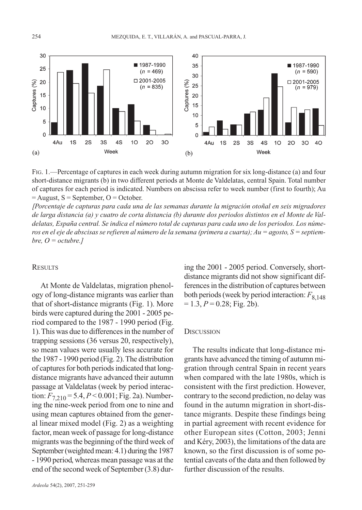

FIG. 1.—Percentage of captures in each week during autumn migration for six long-distance (a) and four short-distance migrants (b) in two different periods at Monte de Valdelatas, central Spain. Total number of captures for each period is indicated. Numbers on abscissa refer to week number (first to fourth); Au  $=$  August,  $S =$  September,  $Q =$  October.

*[Porcentaje de capturas para cada una de las semanas durante la migración otoñal en seis migradores de larga distancia (a) y cuatro de corta distancia (b) durante dos periodos distintos en el Monte de Valdelatas, España central. Se indica el número total de capturas para cada uno de los periodos. Los números en el eje de abscisas se refieren al número de la semana (primera a cuarta); Au = agosto, S = septiem* $bre, O = octubre.$ 

# **RESULTS**

At Monte de Valdelatas, migration phenology of long-distance migrants was earlier than that of short-distance migrants (Fig. 1). More birds were captured during the 2001 - 2005 period compared to the 1987 - 1990 period (Fig. 1). This was due to differences in the number of trapping sessions (36 versus 20, respectively), so mean values were usually less accurate for the 1987 - 1990 period (Fig. 2). The distribution of captures for both periods indicated that longdistance migrants have advanced their autumn passage at Valdelatas (week by period interaction:  $F_{7,210} = 5.4, P < 0.001$ ; Fig. 2a). Numbering the nine-week period from one to nine and using mean captures obtained from the general linear mixed model (Fig. 2) as a weighting factor, mean week of passage for long-distance migrants was the beginning of the third week of September (weighted mean: 4.1) during the 1987 - 1990 period, whereas mean passage was at the end of the second week of September (3.8) dur-

ing the 2001 - 2005 period. Conversely, shortdistance migrants did not show significant differences in the distribution of captures between both periods (week by period interaction:  $F_{8,148}$  $= 1.3, P = 0.28$ ; Fig. 2b).

## **DISCUSSION**

The results indicate that long-distance migrants have advanced the timing of autumn migration through central Spain in recent years when compared with the late 1980s, which is consistent with the first prediction. However, contrary to the second prediction, no delay was found in the autumn migration in short-distance migrants. Despite these findings being in partial agreement with recent evidence for other European sites (Cotton, 2003; Jenni and Kéry, 2003), the limitations of the data are known, so the first discussion is of some potential caveats of the data and then followed by further discussion of the results.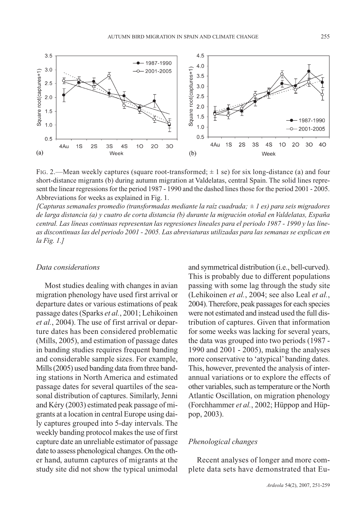

FIG. 2.—Mean weekly captures (square root-transformed;  $\pm 1$  se) for six long-distance (a) and four short-distance migrants (b) during autumn migration at Valdelatas, central Spain. The solid lines represent the linear regressions for the period 1987 - 1990 and the dashed lines those for the period 2001 - 2005. Abbreviations for weeks as explained in Fig. 1.

*[Capturas semanales promedio (transformadas mediante la raíz cuadrada; ± 1 es) para seis migradores de larga distancia (a) y cuatro de corta distancia (b) durante la migración otoñal en Valdelatas, España central. Las líneas continuas representan las regresiones lineales para el periodo 1987 - 1990 y las líneas discontinuas las del periodo 2001 - 2005. Las abreviaturas utilizadas para las semanas se explican en la Fig. 1.]*

## *Data considerations*

Most studies dealing with changes in avian migration phenology have used first arrival or departure dates or various estimations of peak passage dates (Sparks *et al.*, 2001; Lehikoinen *et al.*, 2004). The use of first arrival or departure dates has been considered problematic (Mills, 2005), and estimation of passage dates in banding studies requires frequent banding and considerable sample sizes. For example, Mills (2005) used banding data from three banding stations in North America and estimated passage dates for several quartiles of the seasonal distribution of captures. Similarly, Jenni and Kéry (2003) estimated peak passage of migrants at a location in central Europe using daily captures grouped into 5-day intervals. The weekly banding protocol makes the use of first capture date an unreliable estimator of passage date to assess phenological changes. On the other hand, autumn captures of migrants at the study site did not show the typical unimodal and symmetrical distribution (i.e., bell-curved). This is probably due to different populations passing with some lag through the study site (Lehikoinen *et al.*, 2004; see also Leal *et al.*, 2004). Therefore, peak passages for each species were not estimated and instead used the full distribution of captures. Given that information for some weeks was lacking for several years, the data was grouped into two periods (1987 - 1990 and 2001 - 2005), making the analyses more conservative to 'atypical' banding dates. This, however, prevented the analysis of interannual variations or to explore the effects of other variables, such as temperature or the North Atlantic Oscillation, on migration phenology (Forchhammer *et al.*, 2002; Hüppop and Hüppop, 2003).

## *Phenological changes*

Recent analyses of longer and more complete data sets have demonstrated that Eu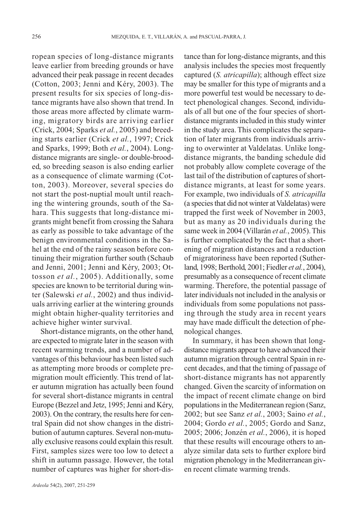ropean species of long-distance migrants leave earlier from breeding grounds or have advanced their peak passage in recent decades (Cotton, 2003; Jenni and Kéry, 2003). The present results for six species of long-distance migrants have also shown that trend. In those areas more affected by climate warming, migratory birds are arriving earlier (Crick, 2004; Sparks *et al.*, 2005) and breeding starts earlier (Crick *et al.*, 1997; Crick and Sparks, 1999; Both *et al.*, 2004). Longdistance migrants are single- or double-brooded, so breeding season is also ending earlier as a consequence of climate warming (Cotton, 2003). Moreover, several species do not start the post-nuptial moult until reaching the wintering grounds, south of the Sahara. This suggests that long-distance migrants might benefit from crossing the Sahara as early as possible to take advantage of the benign environmental conditions in the Sahel at the end of the rainy season before continuing their migration further south (Schaub and Jenni, 2001; Jenni and Kéry, 2003; Ottosson *et al.*, 2005). Additionally, some species are known to be territorial during winter (Salewski *et al.*, 2002) and thus individuals arriving earlier at the wintering grounds might obtain higher-quality territories and achieve higher winter survival.

Short-distance migrants, on the other hand, are expected to migrate later in the season with recent warming trends, and a number of advantages of this behaviour has been listed such as attempting more broods or complete premigration moult efficiently. This trend of later autumn migration has actually been found for several short-distance migrants in central Europe (Bezzel and Jetz, 1995; Jenni and Kéry, 2003). On the contrary, the results here for central Spain did not show changes in the distribution of autumn captures. Several non-mutually exclusive reasons could explain this result. First, samples sizes were too low to detect a shift in autumn passage. However, the total number of captures was higher for short-dis-

*Ardeola* 54(2), 2007, 251-259

tance than for long-distance migrants, and this analysis includes the species most frequently captured (*S. atricapilla*); although effect size may be smaller for this type of migrants and a more powerful test would be necessary to detect phenological changes. Second, individuals of all but one of the four species of shortdistance migrants included in this study winter in the study area. This complicates the separation of later migrants from individuals arriving to overwinter at Valdelatas. Unlike longdistance migrants, the banding schedule did not probably allow complete coverage of the last tail of the distribution of captures of shortdistance migrants, at least for some years. For example, two individuals of *S. atricapilla* (a species that did not winter at Valdelatas) were trapped the first week of November in 2003, but as many as 20 individuals during the same week in 2004 (Villarán *et al.*, 2005). This is further complicated by the fact that a shortening of migration distances and a reduction of migratoriness have been reported (Sutherland, 1998; Berthold, 2001; Fiedler *et al.*, 2004), presumably as a consequence of recent climate warming. Therefore, the potential passage of later individuals not included in the analysis or individuals from some populations not passing through the study area in recent years may have made difficult the detection of phenological changes.

In summary, it has been shown that longdistance migrants appear to have advanced their autumn migration through central Spain in recent decades, and that the timing of passage of short-distance migrants has not apparently changed. Given the scarcity of information on the impact of recent climate change on bird populations in the Mediterranean region (Sanz, 2002; but see Sanz *et al.*, 2003; Saino *et al.*, 2004; Gordo *et al.*, 2005; Gordo and Sanz, 2005; 2006; Jonzén *et al.*, 2006), it is hoped that these results will encourage others to analyze similar data sets to further explore bird migration phenology in the Mediterranean given recent climate warming trends.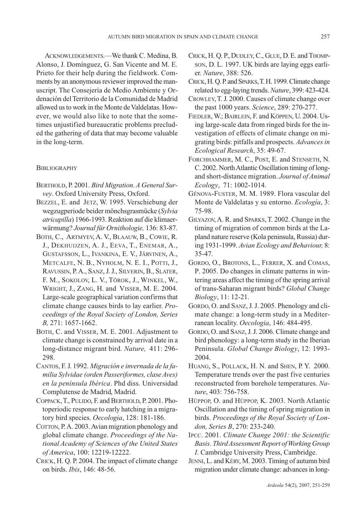ACKNOWLEDGEMENTS.—We thank C. Medina, B. Alonso, J. Domínguez, G. San Vicente and M. E. Prieto for their help during the fieldwork. Comments by an anonymous reviewer improved the manuscript. The Consejería de Medio Ambiente y Ordenación del Territorio de la Comunidad de Madrid allowed us to work in the Monte de Valdelatas. However, we would also like to note that the sometimes unjustified bureaucratic problems precluded the gathering of data that may become valuable in the long-term.

#### **BIBLIOGRAPHY**

- BERTHOLD, P. 2001. *Bird Migration. A General Survey*. Oxford University Press, Oxford.
- BEZZEL, E. and JETZ, W. 1995. Verschiebung der wegzugperiode beider mönchsgrasmücke (*Sylvia atricapilla*) 1966-1993. Reaktion auf die klimaerwärmung? *Journal für Ornithologie,* 136: 83-87.
- BOTH, C., ARTMYEV, A. V., BLAAUW, B., COWIE, R. J., DEKHUIJZEN, A. J., EEVA, T., ENEMAR, A., GUSTAFSSON, L., IVANKINA, E. V., JÄRVINEN, A., METCALFE, N. B., NYHOLM, N. E. I., POTTI, J., RAVUSSIN, P.A., SANZ,J.J., SILVERIN, B., SLATER, F. M., SOKOLOV, L. V., TÖROK, J., WINKEL, W., WRIGHT, J., ZANG, H. and VISSER, M. E. 2004. Large-scale geographical variation confirms that climate change causes birds to lay earlier. *Proceedings of the Royal Society of London, Series B,* 271: 1657-1662.
- BOTH, C. and VISSER, M. E. 2001. Adjustment to climate change is constrained by arrival date in a long-distance migrant bird. *Nature,* 411: 296- 298.
- CANTOS, F.J. 1992. *Migración e invernada de la familia Sylvidae (orden Passeriformes, clase Aves) en la península Ibérica*. Phd diss. Universidad Complutense de Madrid, Madrid.
- COPPACK,T., PULIDO, F. and BERTHOLD, P. 2001. Photoperiodic response to early hatching in a migratory bird species. *Oecologia*, 128: 181-186.
- COTTON, P. A. 2003. Avian migration phenology and global climate change. *Proceedings of the National Academy of Sciences of the United States of America*, 100: 12219-12222.
- CRICK, H. Q. P. 2004. The impact of climate change on birds. *Ibis*, 146: 48-56.
- CRICK, H. Q. P., DUDLEY,C., GLUE, D. E. and THOMP-SON, D. L. 1997. UK birds are laying eggs earlier. *Nature*, 388: 526.
- CRICK,H. Q. P. and SPARKS,T. H. 1999. Climate change related to egg-laying trends. *Nature*, 399: 423-424.
- CROWLEY,T. J. 2000. Causes of climate change over the past 1000 years. *Science*, 289: 270-277.
- FIEDLER,W.; BAIRLEIN, F. and KÖPPEN, U. 2004. Using large-scale data from ringed birds for the investigation of effects of climate change on migrating birds: pitfalls and prospects. *Advances in Ecological Research*, 35: 49-67.
- FORCHHAMMER, M. C., POST, E. and STENSETH, N. C. 2002. North Atlantic Oscillation timing of longand short-distance migration. *Journal of Animal Ecology*, 71: 1002-1014.
- GÉNOVA-FUSTER, M. M. 1989. Flora vascular del Monte de Valdelatas y su entorno. *Ecología*, 3: 75-98.
- GILYAZOV, A. R. and SPARKS, T. 2002. Change in the timing of migration of common birds at the Lapland nature reserve (Kola peninsula, Russia) during 1931-1999. *Avian Ecology and Behaviour,* 8: 35-47.
- GORDO, O., BROTONS, L., FERRER, X. and COMAS, P. 2005. Do changes in climate patterns in wintering areas affect the timing of the spring arrival of trans-Saharan migrant birds? *Global Change Biology*, 11: 12-21.
- GORDO, O. and SANZ, J. J. 2005. Phenology and climate change: a long-term study in a Mediterranean locality. *Oecologia*, 146: 484-495.
- GORDO, O. and SANZ, J. J. 2006. Climate change and bird phenology: a long-term study in the Iberian Peninsula. *Global Change Biology*, 12: 1993- 2004.
- HUANG, S., POLLACK, H. N. and SHEN, P. Y. 2000. Temperature trends over the past five centuries reconstructed from borehole temperatures. *Nature*, 403: 756-758.
- HÜPPOP, O. and HÜPPOP, K. 2003. North Atlantic Oscillation and the timing of spring migration in birds. *Proceedings of the Royal Society of London, Series B*, 270: 233-240.
- IPCC. 2001. *Climate Change 2001: the Scientific Basis*. *Third Assessment Report of Working Group I*. Cambridge University Press, Cambridge.
- JENNI, L. and KÉRY, M. 2003. Timing of autumn bird migration under climate change: advances in long-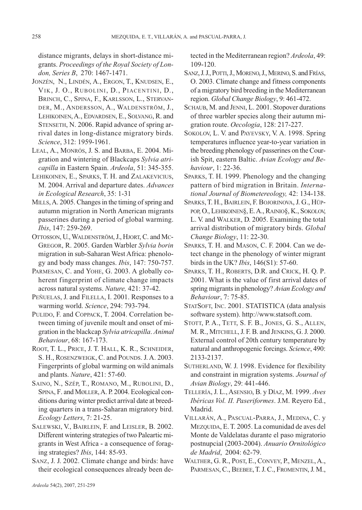distance migrants, delays in short-distance migrants. *Proceedings of the Royal Society of London, Series B*, 270: 1467-1471.

- JONZÉN, N., LINDÉN, A., ERGON, T., KNUDSEN, E., VIK, J. O., RUBOLINI, D., PIACENTINI, D., BRINCH, C., SPINA, F., KARLSSON, L., STERVAN-DER, M., ANDERSSON, A., WALDENSTRÖM, J., LEHIKOINEN, A., EDVARDSEN, E., SOLVANG, R. and STENSETH, N. 2006. Rapid advance of spring arrival dates in long-distance migratory birds. *Science*, 312: 1959-1961.
- LEAL, A., MONRÓS, J. S. and BARBA, E. 2004. Migration and wintering of Blackcaps *Sylvia atricapilla* in Eastern Spain. *Ardeola*, 51: 345-355.
- LEHIKOINEN, E., SPARKS, T. H. and ZALAKEVICIUS, M. 2004. Arrival and departure dates. *Advances in Ecological Research*, 35: 1-31
- MILLS,A. 2005. Changes in the timing of spring and autumn migration in North American migrants passerines during a period of global warming. *Ibis*, 147: 259-269.
- OTTOSSON, U., WALDENSTRÖM, J., HJORT, C. and MC-GREGOR, R. 2005. Garden Warbler *Sylvia borin* migration in sub-Saharan West Africa: phenology and body mass changes. *Ibis*, 147: 750-757.
- PARMESAN, C. and YOHE, G. 2003. A globally coherent fingerprint of climate change impacts across natural systems. *Nature,* 421: 37-42.
- PEÑUELAS, J. and FILELLA, I. 2001. Responses to a warming world. *Science*, 294: 793-794.
- PULIDO, F. and COPPACK, T. 2004. Correlation between timing of juvenile moult and onset of migration in the blackcap *Sylvia atricapilla*. *Animal Behaviour*, 68: 167-173.
- ROOT, T. L., PRICE, J. T. HALL, K. R., SCHNEIDER, S. H., ROSENZWEIGK, C. and POUNDS. J. A. 2003. Fingerprints of global warming on wild animals and plants. *Nature*, 421: 57-60.
- SAINO, N., SZÉP, T., ROMANO, M., RUBOLINI, D., SPINA, F. and MØLLER, A. P. 2004. Ecological conditions during winter predict arrival date at breeding quarters in a trans-Saharan migratory bird. *Ecology Letters*, 7: 21-25.
- SALEWSKI, V., BAIRLEIN, F. and LEISLER, B. 2002. Different wintering strategies of two Paleartic migrants in West Africa - a consequence of foraging strategies? *Ibis*, 144: 85-93.
- SANZ, J. J. 2002. Climate change and birds: have their ecological consequences already been de-

tected in the Mediterranean region? *Ardeola*, 49: 109-120.

- SANZ, J. J., POTTI, J., MORENO, J., MERINO, S. and Frías, O. 2003. Climate change and fitness components of a migratory bird breeding in the Mediterranean region. *Global Change Biology*, 9: 461-472.
- SCHAUB, M. and JENNI, L. 2001. Stopover durations of three warbler species along their autumn migration route. *Oecologia*, 128: 217-227.
- SOKOLOV, L. V. and PAYEVSKY, V. A. 1998. Spring temperatures influence year-to-year variation in the breeding phenology of passerines on the Courish Spit, eastern Baltic. *Avian Ecology and Behaviour*, 1: 22-36.
- SPARKS, T. H. 1999. Phenology and the changing pattern of bird migration in Britain. *International Journal of Biometereology,* 42: 134-138.
- SPARKS, T. H., BAIRLEIN, F. BOJORINOVA, J. G., HÜP-POP, O., LEHIKOINEN§, E. A., RAINIO§, K., SOKOLOV, L. V. and WALKER, D. 2005. Examining the total arrival distribution of migratory birds. *Global Change Biology*, 11: 22-30.
- SPARKS, T. H. and MASON, C. F. 2004. Can we detect change in the phenology of winter migrant birds in the UK? *Ibis*, 146(S1): 57-60.
- SPARKS, T. H., ROBERTS, D.R. and CRICK, H. Q. P. 2001. What is the value of first arrival dates of spring migrants in phenology? *Avian Ecology and Behaviour*, 7: 75-85.
- STATSOFT, INC. 2001. STATISTICA (data analysis software system). http://www.statsoft.com.
- STOTT, P. A., TETT, S. F. B., JONES, G. S., ALLEN, M. R., MITCHELL, J. F. B. and JENKINS, G. J. 2000. External control of 20th century temperature by natural and anthropogenic forcings. *Science*, 490: 2133-2137.
- SUTHERLAND, W. J. 1998. Evidence for flexibility and constraint in migration systems. *Journal of Avian Biology*, 29: 441-446.
- TELLERÍA, J. L., ASENSIO, B. y DÍAZ, M. 1999. *Aves Ibéricas Vol. II. Paseriformes*. J.M. Reyero Ed., Madrid.
- VILLARÁN, A., PASCUAL-PARRA, J., MEDINA, C. y MEZQUIDA, E. T. 2005. La comunidad de aves del Monte de Valdelatas durante el paso migratorio postnupcial (2003-2004). *Anuario Ornitológico de Madrid*, 2004: 62-79.
- WALTHER, G. R., POST, E., CONVEY, P., MENZEL,A., PARMESAN, C., BEEBEE, T. J. C., FROMENTIN, J. M.,